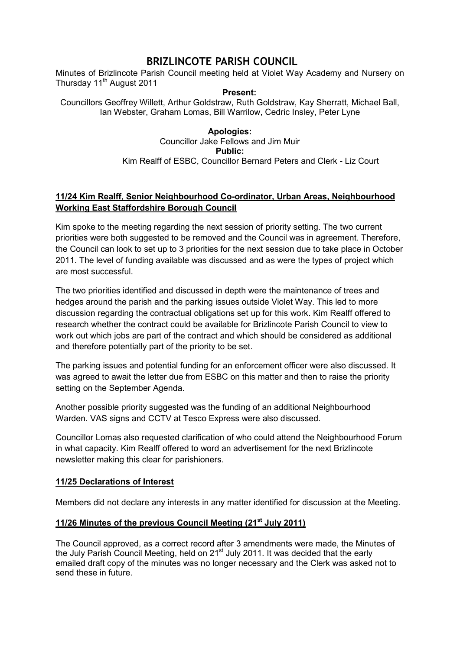# **BRIZLINCOTE PARISH COUNCIL**

Minutes of Brizlincote Parish Council meeting held at Violet Way Academy and Nursery on Thursday 11<sup>th</sup> August 2011

#### **Present:**

Councillors Geoffrey Willett, Arthur Goldstraw, Ruth Goldstraw, Kay Sherratt, Michael Ball, Ian Webster, Graham Lomas, Bill Warrilow, Cedric Insley, Peter Lyne

### **Apologies:**  Councillor Jake Fellows and Jim Muir **Public:**  Kim Realff of ESBC, Councillor Bernard Peters and Clerk - Liz Court

# **11/24 Kim Realff, Senior Neighbourhood Co-ordinator, Urban Areas, Neighbourhood Working East Staffordshire Borough Council**

Kim spoke to the meeting regarding the next session of priority setting. The two current priorities were both suggested to be removed and the Council was in agreement. Therefore, the Council can look to set up to 3 priorities for the next session due to take place in October 2011. The level of funding available was discussed and as were the types of project which are most successful.

The two priorities identified and discussed in depth were the maintenance of trees and hedges around the parish and the parking issues outside Violet Way. This led to more discussion regarding the contractual obligations set up for this work. Kim Realff offered to research whether the contract could be available for Brizlincote Parish Council to view to work out which jobs are part of the contract and which should be considered as additional and therefore potentially part of the priority to be set.

The parking issues and potential funding for an enforcement officer were also discussed. It was agreed to await the letter due from ESBC on this matter and then to raise the priority setting on the September Agenda.

Another possible priority suggested was the funding of an additional Neighbourhood Warden. VAS signs and CCTV at Tesco Express were also discussed.

Councillor Lomas also requested clarification of who could attend the Neighbourhood Forum in what capacity. Kim Realff offered to word an advertisement for the next Brizlincote newsletter making this clear for parishioners.

# **11/25 Declarations of Interest**

Members did not declare any interests in any matter identified for discussion at the Meeting.

# **11/26 Minutes of the previous Council Meeting (21st July 2011)**

The Council approved, as a correct record after 3 amendments were made, the Minutes of the July Parish Council Meeting, held on 21<sup>st</sup> July 2011. It was decided that the early emailed draft copy of the minutes was no longer necessary and the Clerk was asked not to send these in future.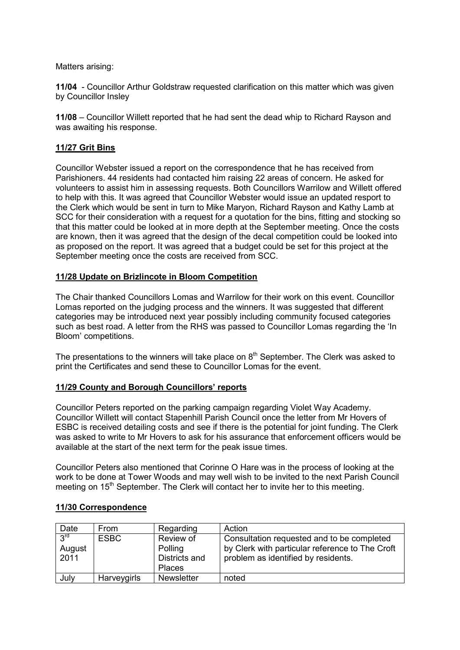Matters arising:

**11/04** - Councillor Arthur Goldstraw requested clarification on this matter which was given by Councillor Insley

**11/08** – Councillor Willett reported that he had sent the dead whip to Richard Rayson and was awaiting his response.

# **11/27 Grit Bins**

Councillor Webster issued a report on the correspondence that he has received from Parishioners. 44 residents had contacted him raising 22 areas of concern. He asked for volunteers to assist him in assessing requests. Both Councillors Warrilow and Willett offered to help with this. It was agreed that Councillor Webster would issue an updated resport to the Clerk which would be sent in turn to Mike Maryon, Richard Rayson and Kathy Lamb at SCC for their consideration with a request for a quotation for the bins, fitting and stocking so that this matter could be looked at in more depth at the September meeting. Once the costs are known, then it was agreed that the design of the decal competition could be looked into as proposed on the report. It was agreed that a budget could be set for this project at the September meeting once the costs are received from SCC.

#### **11/28 Update on Brizlincote in Bloom Competition**

The Chair thanked Councillors Lomas and Warrilow for their work on this event. Councillor Lomas reported on the judging process and the winners. It was suggested that different categories may be introduced next year possibly including community focused categories such as best road. A letter from the RHS was passed to Councillor Lomas regarding the 'In Bloom' competitions.

The presentations to the winners will take place on  $8<sup>th</sup>$  September. The Clerk was asked to print the Certificates and send these to Councillor Lomas for the event.

# **11/29 County and Borough Councillors' reports**

Councillor Peters reported on the parking campaign regarding Violet Way Academy. Councillor Willett will contact Stapenhill Parish Council once the letter from Mr Hovers of ESBC is received detailing costs and see if there is the potential for joint funding. The Clerk was asked to write to Mr Hovers to ask for his assurance that enforcement officers would be available at the start of the next term for the peak issue times.

Councillor Peters also mentioned that Corinne O Hare was in the process of looking at the work to be done at Tower Woods and may well wish to be invited to the next Parish Council meeting on 15<sup>th</sup> September. The Clerk will contact her to invite her to this meeting.

| Date            | From        | Regarding         | Action                                          |
|-----------------|-------------|-------------------|-------------------------------------------------|
| 2 <sub>ld</sub> | <b>ESBC</b> | Review of         | Consultation requested and to be completed      |
| August          |             | Polling           | by Clerk with particular reference to The Croft |
| 2011            |             | Districts and     | problem as identified by residents.             |
|                 |             | <b>Places</b>     |                                                 |
| July            | Harveygirls | <b>Newsletter</b> | noted                                           |

# **11/30 Correspondence**